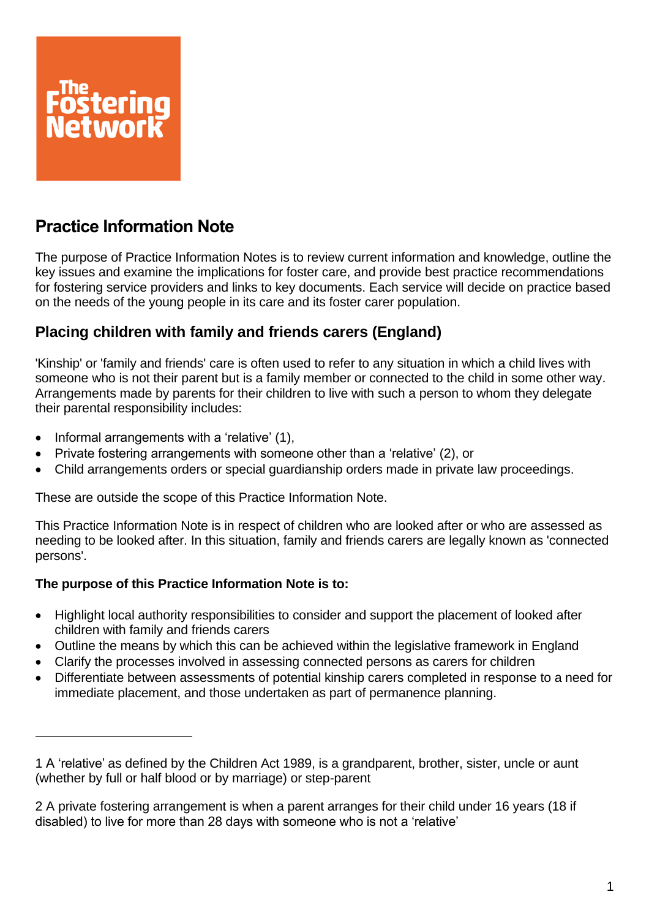

# **Practice Information Note**

The purpose of Practice Information Notes is to review current information and knowledge, outline the key issues and examine the implications for foster care, and provide best practice recommendations for fostering service providers and links to key documents. Each service will decide on practice based on the needs of the young people in its care and its foster carer population.

## **Placing children with family and friends carers (England)**

'Kinship' or 'family and friends' care is often used to refer to any situation in which a child lives with someone who is not their parent but is a family member or connected to the child in some other way. Arrangements made by parents for their children to live with such a person to whom they delegate their parental responsibility includes:

- Informal arrangements with a 'relative' (1),
- Private fostering arrangements with someone other than a 'relative' (2), or
- Child arrangements orders or special guardianship orders made in private law proceedings.

These are outside the scope of this Practice Information Note.

This Practice Information Note is in respect of children who are looked after or who are assessed as needing to be looked after. In this situation, family and friends carers are legally known as 'connected persons'.

## **The purpose of this Practice Information Note is to:**

- Highlight local authority responsibilities to consider and support the placement of looked after children with family and friends carers
- Outline the means by which this can be achieved within the legislative framework in England
- Clarify the processes involved in assessing connected persons as carers for children
- Differentiate between assessments of potential kinship carers completed in response to a need for immediate placement, and those undertaken as part of permanence planning.

<sup>1</sup> A 'relative' as defined by the Children Act 1989, is a grandparent, brother, sister, uncle or aunt (whether by full or half blood or by marriage) or step-parent

<sup>2</sup> A private fostering arrangement is when a parent arranges for their child under 16 years (18 if disabled) to live for more than 28 days with someone who is not a 'relative'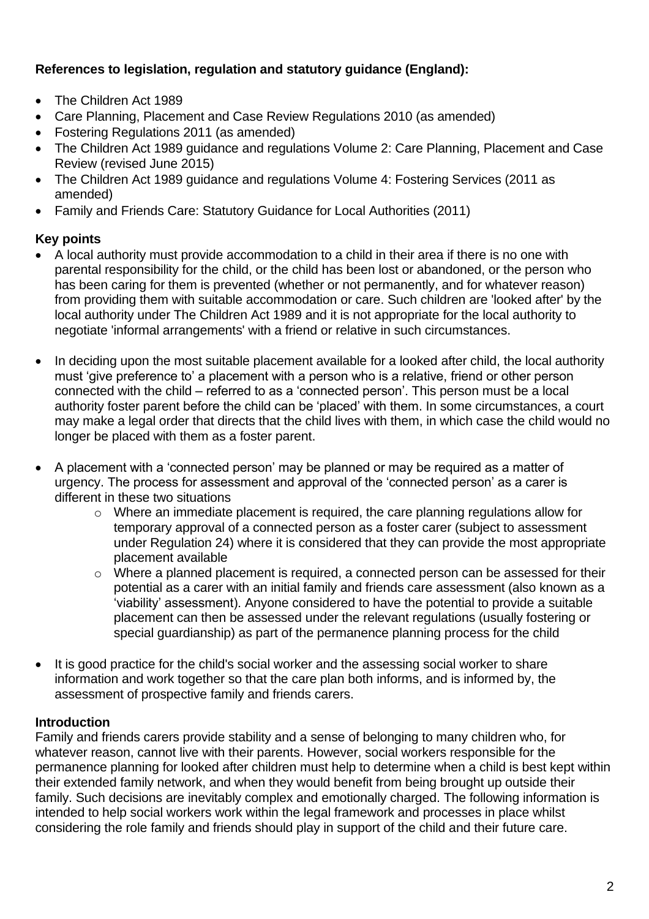## **References to legislation, regulation and statutory guidance (England):**

- The Children Act 1989
- Care Planning, Placement and Case Review Regulations 2010 (as amended)
- Fostering Regulations 2011 (as amended)
- The Children Act 1989 guidance and regulations Volume 2: Care Planning, Placement and Case Review (revised June 2015)
- The Children Act 1989 guidance and regulations Volume 4: Fostering Services (2011 as amended)
- Family and Friends Care: Statutory Guidance for Local Authorities (2011)

## **Key points**

- A local authority must provide accommodation to a child in their area if there is no one with parental responsibility for the child, or the child has been lost or abandoned, or the person who has been caring for them is prevented (whether or not permanently, and for whatever reason) from providing them with suitable accommodation or care. Such children are 'looked after' by the local authority under The Children Act 1989 and it is not appropriate for the local authority to negotiate 'informal arrangements' with a friend or relative in such circumstances.
- In deciding upon the most suitable placement available for a looked after child, the local authority must 'give preference to' a placement with a person who is a relative, friend or other person connected with the child – referred to as a 'connected person'. This person must be a local authority foster parent before the child can be 'placed' with them. In some circumstances, a court may make a legal order that directs that the child lives with them, in which case the child would no longer be placed with them as a foster parent.
- A placement with a 'connected person' may be planned or may be required as a matter of urgency. The process for assessment and approval of the 'connected person' as a carer is different in these two situations
	- o Where an immediate placement is required, the care planning regulations allow for temporary approval of a connected person as a foster carer (subject to assessment under Regulation 24) where it is considered that they can provide the most appropriate placement available
	- o Where a planned placement is required, a connected person can be assessed for their potential as a carer with an initial family and friends care assessment (also known as a 'viability' assessment). Anyone considered to have the potential to provide a suitable placement can then be assessed under the relevant regulations (usually fostering or special guardianship) as part of the permanence planning process for the child
- It is good practice for the child's social worker and the assessing social worker to share information and work together so that the care plan both informs, and is informed by, the assessment of prospective family and friends carers.

## **Introduction**

Family and friends carers provide stability and a sense of belonging to many children who, for whatever reason, cannot live with their parents. However, social workers responsible for the permanence planning for looked after children must help to determine when a child is best kept within their extended family network, and when they would benefit from being brought up outside their family. Such decisions are inevitably complex and emotionally charged. The following information is intended to help social workers work within the legal framework and processes in place whilst considering the role family and friends should play in support of the child and their future care.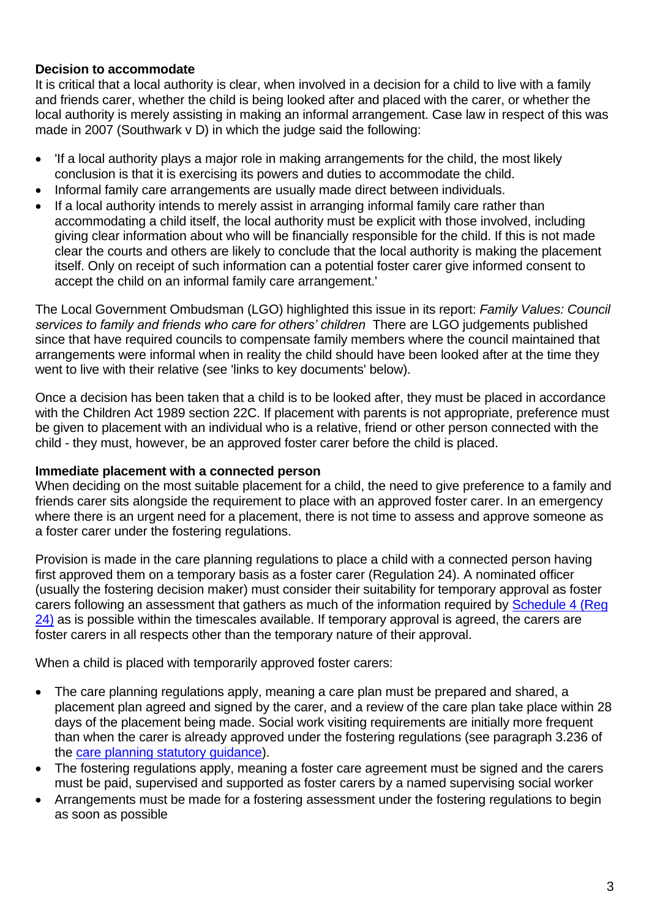## **Decision to accommodate**

It is critical that a local authority is clear, when involved in a decision for a child to live with a family and friends carer, whether the child is being looked after and placed with the carer, or whether the local authority is merely assisting in making an informal arrangement. Case law in respect of this was made in 2007 (Southwark v D) in which the judge said the following:

- 'If a local authority plays a major role in making arrangements for the child, the most likely conclusion is that it is exercising its powers and duties to accommodate the child.
- Informal family care arrangements are usually made direct between individuals.
- If a local authority intends to merely assist in arranging informal family care rather than accommodating a child itself, the local authority must be explicit with those involved, including giving clear information about who will be financially responsible for the child. If this is not made clear the courts and others are likely to conclude that the local authority is making the placement itself. Only on receipt of such information can a potential foster carer give informed consent to accept the child on an informal family care arrangement.'

The Local Government Ombudsman (LGO) highlighted this issue in its report: *Family Values: Council services to family and friends who care for others' children* There are LGO judgements published since that have required councils to compensate family members where the council maintained that arrangements were informal when in reality the child should have been looked after at the time they went to live with their relative (see 'links to key documents' below).

Once a decision has been taken that a child is to be looked after, they must be placed in accordance with the Children Act 1989 section 22C. If placement with parents is not appropriate, preference must be given to placement with an individual who is a relative, friend or other person connected with the child - they must, however, be an approved foster carer before the child is placed.

#### **Immediate placement with a connected person**

When deciding on the most suitable placement for a child, the need to give preference to a family and friends carer sits alongside the requirement to place with an approved foster carer. In an emergency where there is an urgent need for a placement, there is not time to assess and approve someone as a foster carer under the fostering regulations.

Provision is made in the care planning regulations to place a child with a connected person having first approved them on a temporary basis as a foster carer (Regulation 24). A nominated officer (usually the fostering decision maker) must consider their suitability for temporary approval as foster carers following an assessment that gathers as much of the information required by [Schedule 4 \(Reg](http://www.legislation.gov.uk/uksi/2010/959/schedule/4/made)  [24\)](http://www.legislation.gov.uk/uksi/2010/959/schedule/4/made) as is possible within the timescales available. If temporary approval is agreed, the carers are foster carers in all respects other than the temporary nature of their approval.

When a child is placed with temporarily approved foster carers:

- The care planning regulations apply, meaning a care plan must be prepared and shared, a placement plan agreed and signed by the carer, and a review of the care plan take place within 28 days of the placement being made. Social work visiting requirements are initially more frequent than when the carer is already approved under the fostering regulations (see paragraph 3.236 of the [care planning statutory guidance\)](https://www.gov.uk/government/uploads/system/uploads/attachment_data/file/441643/Children_Act_Guidance_2015.pdf).
- The fostering regulations apply, meaning a foster care agreement must be signed and the carers must be paid, supervised and supported as foster carers by a named supervising social worker
- Arrangements must be made for a fostering assessment under the fostering regulations to begin as soon as possible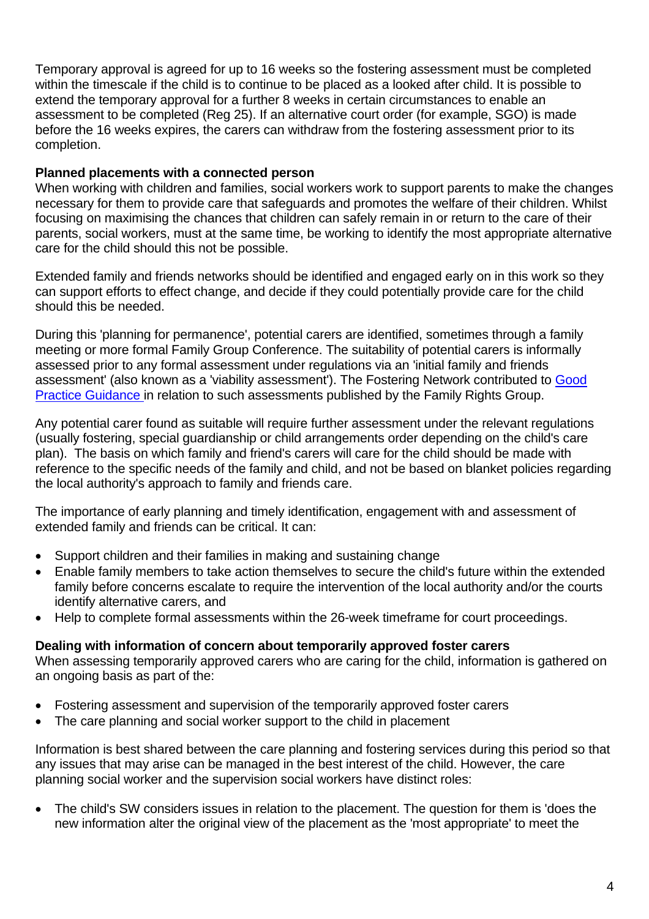Temporary approval is agreed for up to 16 weeks so the fostering assessment must be completed within the timescale if the child is to continue to be placed as a looked after child. It is possible to extend the temporary approval for a further 8 weeks in certain circumstances to enable an assessment to be completed (Reg 25). If an alternative court order (for example, SGO) is made before the 16 weeks expires, the carers can withdraw from the fostering assessment prior to its completion.

## **Planned placements with a connected person**

When working with children and families, social workers work to support parents to make the changes necessary for them to provide care that safeguards and promotes the welfare of their children. Whilst focusing on maximising the chances that children can safely remain in or return to the care of their parents, social workers, must at the same time, be working to identify the most appropriate alternative care for the child should this not be possible.

Extended family and friends networks should be identified and engaged early on in this work so they can support efforts to effect change, and decide if they could potentially provide care for the child should this be needed.

During this 'planning for permanence', potential carers are identified, sometimes through a family meeting or more formal Family Group Conference. The suitability of potential carers is informally assessed prior to any formal assessment under regulations via an 'initial family and friends assessment' (also known as a 'viability assessment'). The Fostering Network contributed to [Good](https://www.frg.org.uk/images/Viability_Assessments/VIABILITY-MASTER-COPY-WHOLE-GUIDE.pdf)  [Practice Guidance](https://www.frg.org.uk/images/Viability_Assessments/VIABILITY-MASTER-COPY-WHOLE-GUIDE.pdf) in relation to such assessments published by the Family Rights Group.

Any potential carer found as suitable will require further assessment under the relevant regulations (usually fostering, special guardianship or child arrangements order depending on the child's care plan). The basis on which family and friend's carers will care for the child should be made with reference to the specific needs of the family and child, and not be based on blanket policies regarding the local authority's approach to family and friends care.

The importance of early planning and timely identification, engagement with and assessment of extended family and friends can be critical. It can:

- Support children and their families in making and sustaining change
- Enable family members to take action themselves to secure the child's future within the extended family before concerns escalate to require the intervention of the local authority and/or the courts identify alternative carers, and
- Help to complete formal assessments within the 26-week timeframe for court proceedings.

#### **Dealing with information of concern about temporarily approved foster carers**

When assessing temporarily approved carers who are caring for the child, information is gathered on an ongoing basis as part of the:

- Fostering assessment and supervision of the temporarily approved foster carers
- The care planning and social worker support to the child in placement

Information is best shared between the care planning and fostering services during this period so that any issues that may arise can be managed in the best interest of the child. However, the care planning social worker and the supervision social workers have distinct roles:

• The child's SW considers issues in relation to the placement. The question for them is 'does the new information alter the original view of the placement as the 'most appropriate' to meet the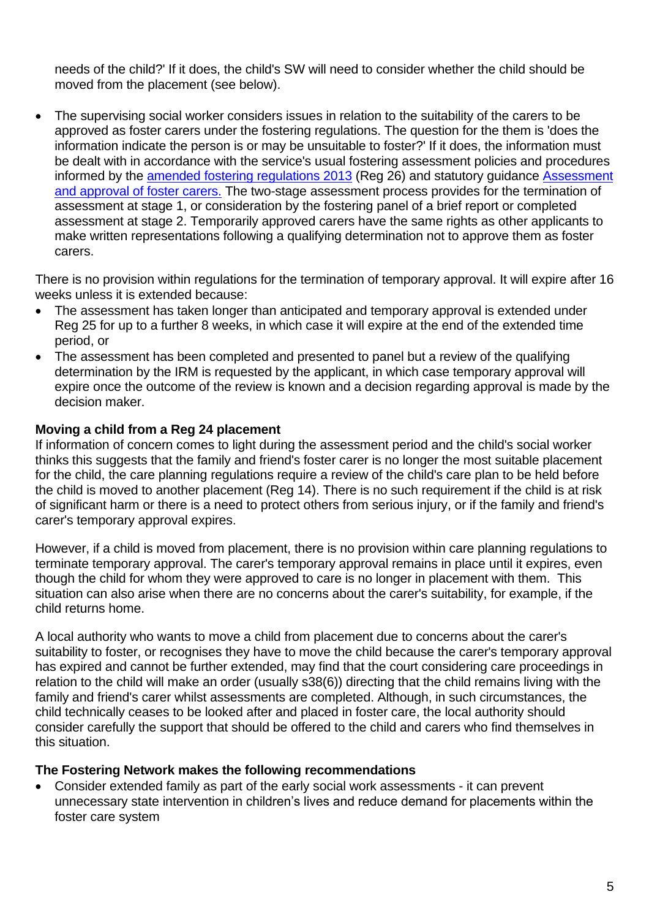needs of the child?' If it does, the child's SW will need to consider whether the child should be moved from the placement (see below).

• The supervising social worker considers issues in relation to the suitability of the carers to be approved as foster carers under the fostering regulations. The question for the them is 'does the information indicate the person is or may be unsuitable to foster?' If it does, the information must be dealt with in accordance with the service's usual fostering assessment policies and procedures informed by the [amended fostering regulations 2013](http://www.legislation.gov.uk/uksi/2013/984/made/data.html) (Reg 26) and statutory guidance [Assessment](https://www.gov.uk/government/publications/fostering-services-assessment-and-approval-of-foster-carers)  [and approval of foster carers.](https://www.gov.uk/government/publications/fostering-services-assessment-and-approval-of-foster-carers) The two-stage assessment process provides for the termination of assessment at stage 1, or consideration by the fostering panel of a brief report or completed assessment at stage 2. Temporarily approved carers have the same rights as other applicants to make written representations following a qualifying determination not to approve them as foster carers.

There is no provision within regulations for the termination of temporary approval. It will expire after 16 weeks unless it is extended because:

- The assessment has taken longer than anticipated and temporary approval is extended under Reg 25 for up to a further 8 weeks, in which case it will expire at the end of the extended time period, or
- The assessment has been completed and presented to panel but a review of the qualifying determination by the IRM is requested by the applicant, in which case temporary approval will expire once the outcome of the review is known and a decision regarding approval is made by the decision maker.

## **Moving a child from a Reg 24 placement**

If information of concern comes to light during the assessment period and the child's social worker thinks this suggests that the family and friend's foster carer is no longer the most suitable placement for the child, the care planning regulations require a review of the child's care plan to be held before the child is moved to another placement (Reg 14). There is no such requirement if the child is at risk of significant harm or there is a need to protect others from serious injury, or if the family and friend's carer's temporary approval expires.

However, if a child is moved from placement, there is no provision within care planning regulations to terminate temporary approval. The carer's temporary approval remains in place until it expires, even though the child for whom they were approved to care is no longer in placement with them. This situation can also arise when there are no concerns about the carer's suitability, for example, if the child returns home.

A local authority who wants to move a child from placement due to concerns about the carer's suitability to foster, or recognises they have to move the child because the carer's temporary approval has expired and cannot be further extended, may find that the court considering care proceedings in relation to the child will make an order (usually s38(6)) directing that the child remains living with the family and friend's carer whilst assessments are completed. Although, in such circumstances, the child technically ceases to be looked after and placed in foster care, the local authority should consider carefully the support that should be offered to the child and carers who find themselves in this situation.

## **The Fostering Network makes the following recommendations**

• Consider extended family as part of the early social work assessments - it can prevent unnecessary state intervention in children's lives and reduce demand for placements within the foster care system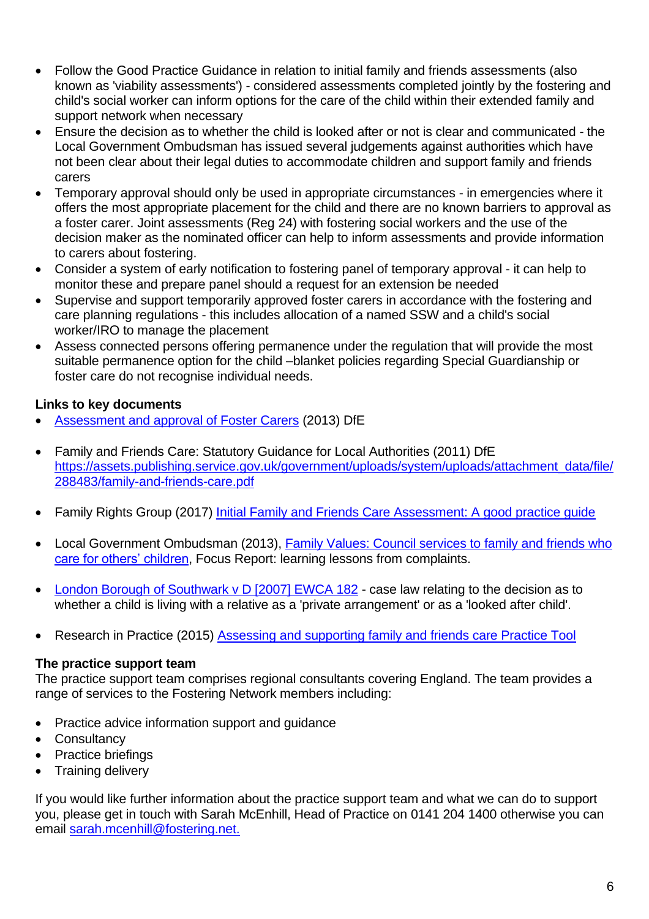- Follow the Good Practice Guidance in relation to initial family and friends assessments (also known as 'viability assessments') - considered assessments completed jointly by the fostering and child's social worker can inform options for the care of the child within their extended family and support network when necessary
- Ensure the decision as to whether the child is looked after or not is clear and communicated the Local Government Ombudsman has issued several judgements against authorities which have not been clear about their legal duties to accommodate children and support family and friends carers
- Temporary approval should only be used in appropriate circumstances in emergencies where it offers the most appropriate placement for the child and there are no known barriers to approval as a foster carer. Joint assessments (Reg 24) with fostering social workers and the use of the decision maker as the nominated officer can help to inform assessments and provide information to carers about fostering.
- Consider a system of early notification to fostering panel of temporary approval it can help to monitor these and prepare panel should a request for an extension be needed
- Supervise and support temporarily approved foster carers in accordance with the fostering and care planning regulations - this includes allocation of a named SSW and a child's social worker/IRO to manage the placement
- Assess connected persons offering permanence under the regulation that will provide the most suitable permanence option for the child –blanket policies regarding Special Guardianship or foster care do not recognise individual needs.

## **Links to key documents**

- [Assessment and approval of Foster Carers](https://www.gov.uk/government/publications/fostering-services-assessment-and-approval-of-foster-carers) (2013) DfE
- Family and Friends Care: Statutory Guidance for Local Authorities (2011) DfE [https://assets.publishing.service.gov.uk/government/uploads/system/uploads/attachment\\_data/file/](https://assets.publishing.service.gov.uk/government/uploads/system/uploads/attachment_data/file/288483/family-and-friends-care.pdf) [288483/family-and-friends-care.pdf](https://assets.publishing.service.gov.uk/government/uploads/system/uploads/attachment_data/file/288483/family-and-friends-care.pdf)
- Family Rights Group (2017) Initial Family and Friends Care Assessment: A good practice quide
- Local Government Ombudsman (2013), [Family Values: Council services to family and friends who](http://www.lgo.org.uk/information-centre/news/2013/nov/family-and-friends-foster-carers-being-treated-unfairly-says-ombudsman)  [care for others' children,](http://www.lgo.org.uk/information-centre/news/2013/nov/family-and-friends-foster-carers-being-treated-unfairly-says-ombudsman) Focus Report: learning lessons from complaints.
- [London Borough of Southwark v D \[2007\] EWCA 182](http://www.familylawweek.co.uk/site.aspx?i=ed2320) case law relating to the decision as to whether a child is living with a relative as a 'private arrangement' or as a 'looked after child'.
- Research in Practice (2015) [Assessing and supporting family and friends care Practice Tool](https://www.rip.org.uk/resources/publications/practice-tools-and-guides/assessing-and-supporting-family-and-friends-care-practice-tool-2015/)

## **The practice support team**

The practice support team comprises regional consultants covering England. The team provides a range of services to the Fostering Network members including:

- Practice advice information support and quidance
- Consultancy
- Practice briefings
- Training delivery

If you would like further information about the practice support team and what we can do to support you, please get in touch with Sarah McEnhill, Head of Practice on 0141 204 1400 otherwise you can email [sarah.mcenhill@fostering.net.](mailto:sarah.mcenhill@fostering.net)